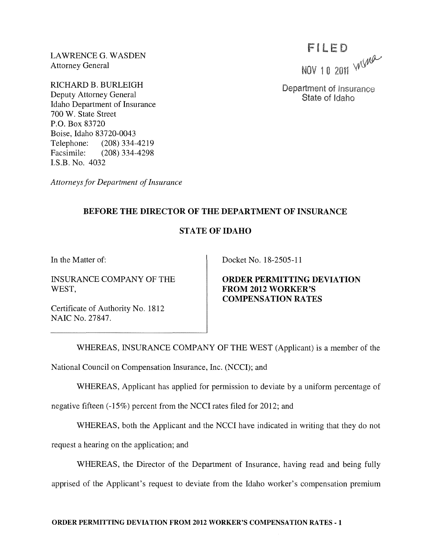LAWRENCE G. WASDEN Attorney General

RICHARD B. BURLEIGH Deputy Attorney General Idaho Department of Insurance 700 W. State Street P.O. Box 83720 Boise, Idaho 83720-0043 Telephone: (208) 334-4219 Facsimile: (208) 334-4298 I.S.B. No. 4032

*Attorneys for Department of Insurance* 

**BEFORE THE DIRECTOR OF THE DEPARTMENT OF INSURANCE** 

## **STATE OF IDAHO**

**In** the Matter of:

INSURANCE COMPANY OF THE WEST,

Docket No. 18-2505-11

**ORDER PERMITTING DEVIATION FROM 2012 WORKER'S COMPENSATION RATES** 

Certificate of Authority No. 1812 NAIC No. 27847.

WHEREAS, INSURANCE COMPANY OF THE WEST (Applicant) is a member of the National Council on Compensation Insurance, Inc. (NCCI); and

WHEREAS, Applicant has applied for permission to deviate by a uniform percentage of

negative fifteen (-15%) percent from the NCCI rates filed for 2012; and

WHEREAS, both the Applicant and the NCCI have indicated in writing that they do not

request a hearing on the application; and

WHEREAS, the Director of the Department of Insurance, having read and being fully apprised of the Applicant's request to deviate from the Idaho worker's compensation premium

FILED<br>NOV 10 2011  $M$ 

Department of Insurance State of Idaho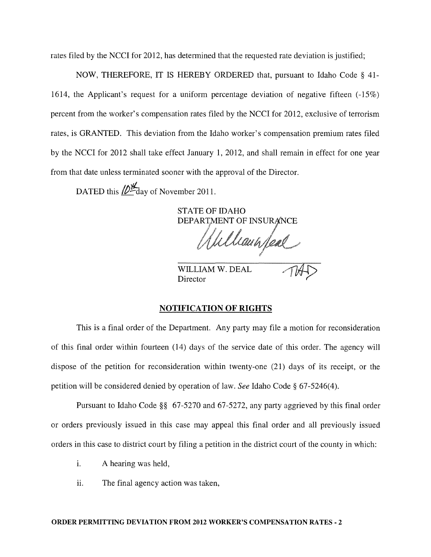rates filed by the NCCI for 2012, has determined that the requested rate deviation is justified;

NOW, THEREFORE, IT IS HEREBY ORDERED that, pursuant to Idaho Code § 41- 1614, the Applicant's request for a uniform percentage deviation of negative fifteen (-15%) percent from the worker's compensation rates filed by the NCCI for 2012, exclusive of terrorism rates, is GRANTED. This deviation from the Idaho worker's compensation premium rates filed by the NCCI for 2012 shall take effect January 1, 2012, and shall remain in effect for one year from that date unless terminated sooner with the approval of the Director.

DATED this  $\frac{1}{2}$  day of November 2011.

STATE OF IDAHO DEPARTMENT OF INSURANCE WILLIAM W. DEAL

**Director** 

## NOTIFICATION OF RIGHTS

This is a final order of the Department. Any party may file a motion for reconsideration of this final order within fourteen (14) days of the service date of this order. The agency will dispose of the petition for reconsideration within twenty-one (21) days of its receipt, or the petition will be considered denied by operation of law. *See* Idaho Code § 67-5246(4).

Pursuant to Idaho Code §§ 67-5270 and 67-5272, any party aggrieved by this final order or orders previously issued in this case may appeal this final order and all previously issued orders in this case to district court by filing a petition in the district court of the county in which:

- i. A hearing was held,
- ii. The final agency action was taken,